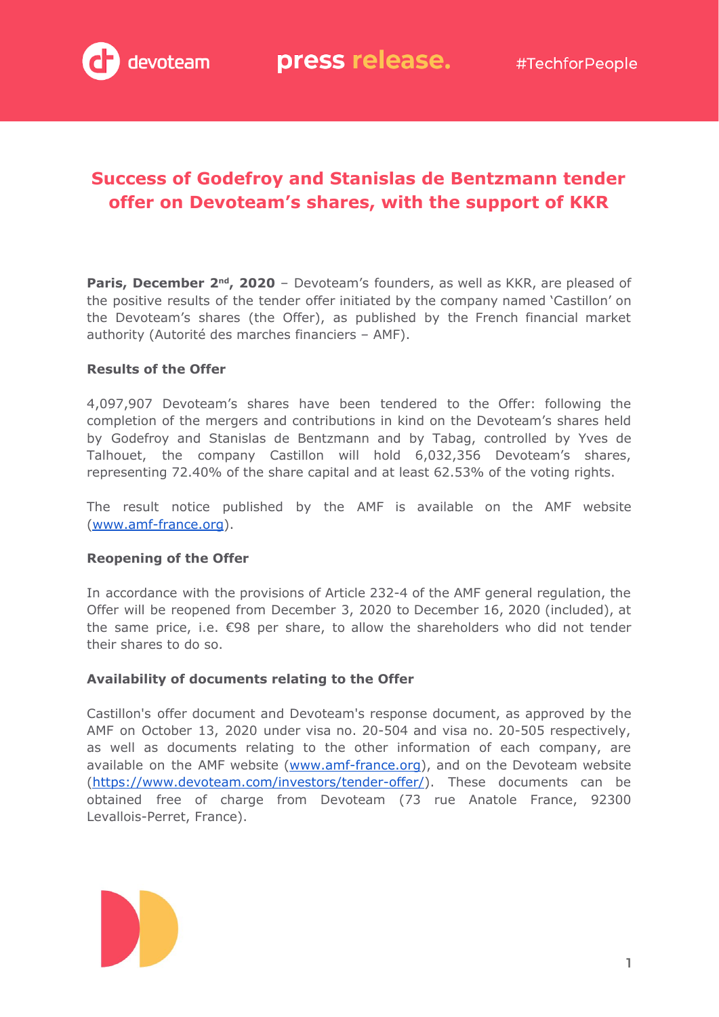## **Success of Godefroy and Stanislas de Bentzmann tender offer on Devoteam's shares, with the support of KKR**

**Paris, December 2<sup>nd</sup>, 2020** - Devoteam's founders, as well as KKR, are pleased of the positive results of the tender offer initiated by the company named 'Castillon' on the Devoteam's shares (the Offer), as published by the French financial market authority (Autorité des marches financiers – AMF).

#### **Results of the Offer**

4,097,907 Devoteam's shares have been tendered to the Offer: following the completion of the mergers and contributions in kind on the Devoteam's shares held by Godefroy and Stanislas de Bentzmann and by Tabag, controlled by Yves de Talhouet, the company Castillon will hold 6,032,356 Devoteam's shares, representing 72.40% of the share capital and at least 62.53% of the voting rights.

The result notice published by the AMF is available on the AMF website ([www.amf-france.org](http://www.amf-france.org/)).

#### **Reopening of the Offer**

In accordance with the provisions of Article 232-4 of the AMF general regulation, the Offer will be reopened from December 3, 2020 to December 16, 2020 (included), at the same price, i.e. €98 per share, to allow the shareholders who did not tender their shares to do so.

#### **Availability of documents relating to the Offer**

Castillon's offer document and Devoteam's response document, as approved by the AMF on October 13, 2020 under visa no. 20-504 and visa no. 20-505 respectively, as well as documents relating to the other information of each company, are available on the AMF website [\(www.amf-france.org\)](http://www.amf-france.org/), and on the Devoteam website ([https://www.devoteam.com/investors/tender-offer/\)](https://www.devoteam.com/investors/tender-offer/). These documents can be obtained free of charge from Devoteam (73 rue Anatole France, 92300 Levallois-Perret, France).

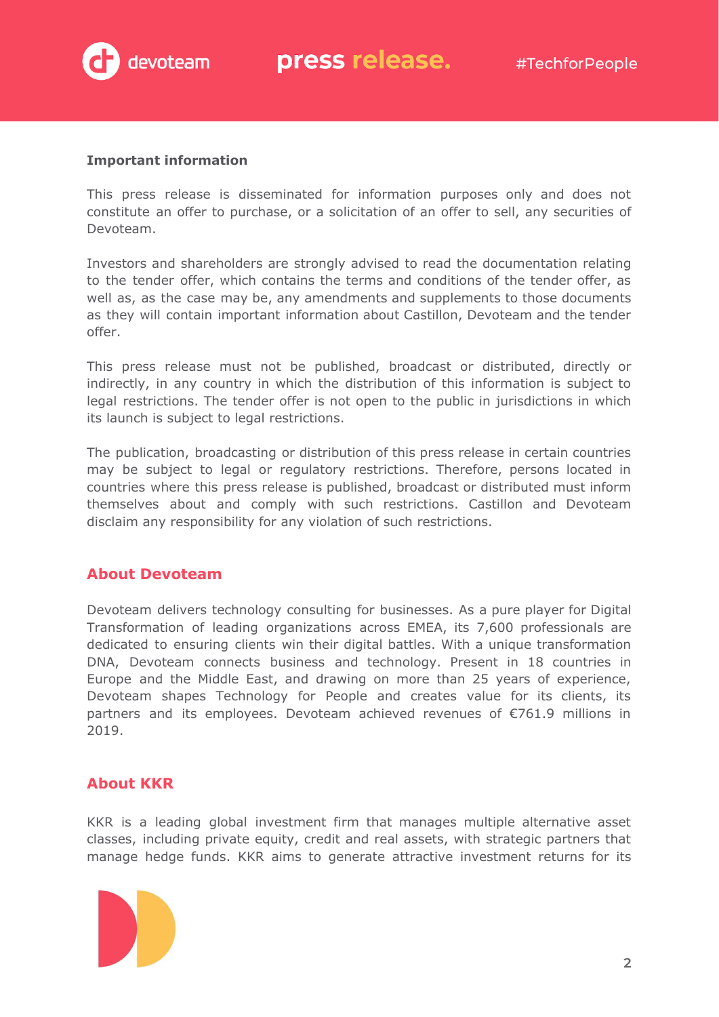

#### **Important information**

This press release is disseminated for information purposes only and does not constitute an offer to purchase, or a solicitation of an offer to sell, any securities of Devoteam.

Investors and shareholders are strongly advised to read the documentation relating to the tender offer, which contains the terms and conditions of the tender offer, as well as, as the case may be, any amendments and supplements to those documents as they will contain important information about Castillon, Devoteam and the tender offer.

This press release must not be published, broadcast or distributed, directly or indirectly, in any country in which the distribution of this information is subject to legal restrictions. The tender offer is not open to the public in jurisdictions in which its launch is subject to legal restrictions.

The publication, broadcasting or distribution of this press release in certain countries may be subject to legal or regulatory restrictions. Therefore, persons located in countries where this press release is published, broadcast or distributed must inform themselves about and comply with such restrictions. Castillon and Devoteam disclaim any responsibility for any violation of such restrictions.

### **About Devoteam**

Devoteam delivers technology consulting for businesses. As a pure player for Digital Transformation of leading organizations across EMEA, its 7,600 professionals are dedicated to ensuring clients win their digital battles. With a unique transformation DNA, Devoteam connects business and technology. Present in 18 countries in Europe and the Middle East, and drawing on more than 25 years of experience, Devoteam shapes Technology for People and creates value for its clients, its partners and its employees. Devoteam achieved revenues of €761.9 millions in 2019.

### **About KKR**

KKR is a leading global investment firm that manages multiple alternative asset classes, including private equity, credit and real assets, with strategic partners that manage hedge funds. KKR aims to generate attractive investment returns for its